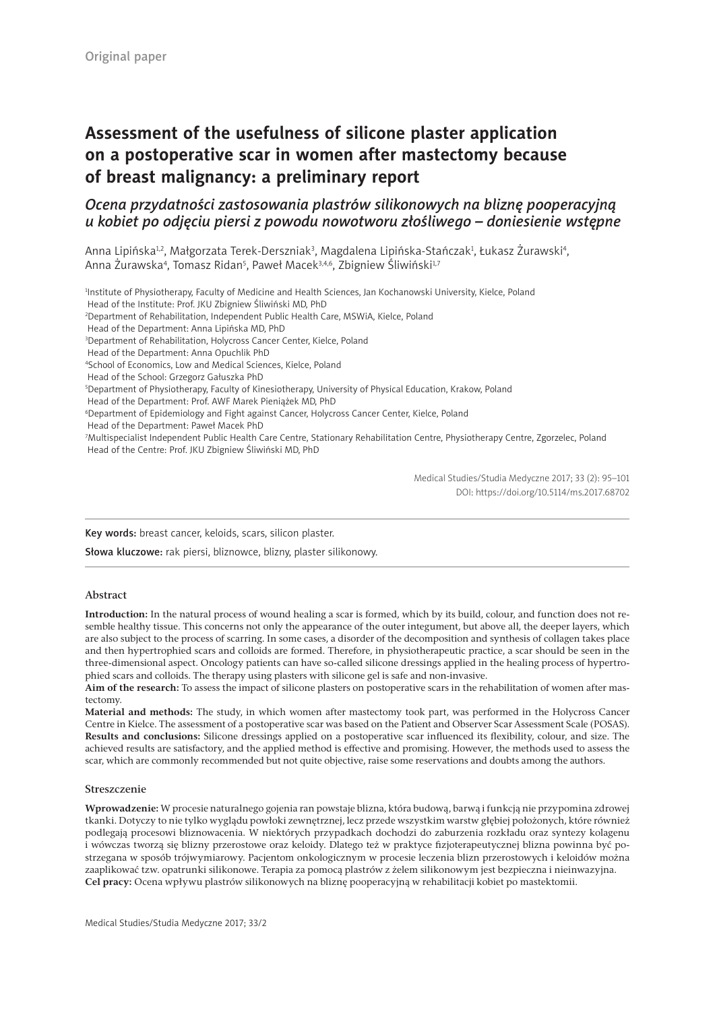# **Assessment of the usefulness of silicone plaster application on a postoperative scar in women after mastectomy because of breast malignancy: a preliminary report**

# *Ocena przydatności zastosowania plastrów silikonowych na bliznę pooperacyjną u kobiet po odjęciu piersi z powodu nowotworu złośliwego – doniesienie wstępne*

Anna Lipińska½, Małgorzata Terek-Derszniak¾, Magdalena Lipińska-Stańczak½, Łukasz Żurawski4, Anna Żurawska<sup>4</sup>, Tomasz Ridan<sup>5</sup>, Paweł Macek<sup>3,4,6</sup>, Zbigniew Śliwiński<sup>1,7</sup>

1 Institute of Physiotherapy, Faculty of Medicine and Health Sciences, Jan Kochanowski University, Kielce, Poland

Head of the Institute: Prof. JKU Zbigniew Śliwiński MD, PhD

2 Department of Rehabilitation, Independent Public Health Care, MSWiA, Kielce, Poland

Head of the Department: Anna Lipińska MD, PhD

3 Department of Rehabilitation, Holycross Cancer Center, Kielce, Poland

Head of the Department: Anna Opuchlik PhD

4 School of Economics, Low and Medical Sciences, Kielce, Poland

Head of the School: Grzegorz Gałuszka PhD

5 Department of Physiotherapy, Faculty of Kinesiotherapy, University of Physical Education, Krakow, Poland

Head of the Department: Prof. AWF Marek Pieniążek MD, PhD

6 Department of Epidemiology and Fight against Cancer, Holycross Cancer Center, Kielce, Poland

Head of the Department: Paweł Macek PhD

7 Multispecialist Independent Public Health Care Centre, Stationary Rehabilitation Centre, Physiotherapy Centre, Zgorzelec, Poland Head of the Centre: Prof. JKU Zbigniew Śliwiński MD, PhD

> Medical Studies/Studia Medyczne 2017; 33 (2): 95–101 DOI: https://doi.org/10.5114/ms.2017.68702

Key words: breast cancer, keloids, scars, silicon plaster.

Słowa kluczowe: rak piersi, bliznowce, blizny, plaster silikonowy.

#### Abstract

**Introduction:** In the natural process of wound healing a scar is formed, which by its build, colour, and function does not resemble healthy tissue. This concerns not only the appearance of the outer integument, but above all, the deeper layers, which are also subject to the process of scarring. In some cases, a disorder of the decomposition and synthesis of collagen takes place and then hypertrophied scars and colloids are formed. Therefore, in physiotherapeutic practice, a scar should be seen in the three-dimensional aspect. Oncology patients can have so-called silicone dressings applied in the healing process of hypertrophied scars and colloids. The therapy using plasters with silicone gel is safe and non-invasive.

**Aim of the research:** To assess the impact of silicone plasters on postoperative scars in the rehabilitation of women after mastectomy.

**Material and methods:** The study, in which women after mastectomy took part, was performed in the Holycross Cancer Centre in Kielce. The assessment of a postoperative scar was based on the Patient and Observer Scar Assessment Scale (POSAS). **Results and conclusions:** Silicone dressings applied on a postoperative scar influenced its flexibility, colour, and size. The achieved results are satisfactory, and the applied method is effective and promising. However, the methods used to assess the scar, which are commonly recommended but not quite objective, raise some reservations and doubts among the authors.

#### Streszczenie

**Wprowadzenie:** W procesie naturalnego gojenia ran powstaje blizna, która budową, barwą i funkcją nie przypomina zdrowej tkanki. Dotyczy to nie tylko wyglądu powłoki zewnętrznej, lecz przede wszystkim warstw głębiej położonych, które również podlegają procesowi bliznowacenia. W niektórych przypadkach dochodzi do zaburzenia rozkładu oraz syntezy kolagenu i wówczas tworzą się blizny przerostowe oraz keloidy. Dlatego też w praktyce fizjoterapeutycznej blizna powinna być postrzegana w sposób trójwymiarowy. Pacjentom onkologicznym w procesie leczenia blizn przerostowych i keloidów można zaaplikować tzw. opatrunki silikonowe. Terapia za pomocą plastrów z żelem silikonowym jest bezpieczna i nieinwazyjna. **Cel pracy:** Ocena wpływu plastrów silikonowych na bliznę pooperacyjną w rehabilitacji kobiet po mastektomii.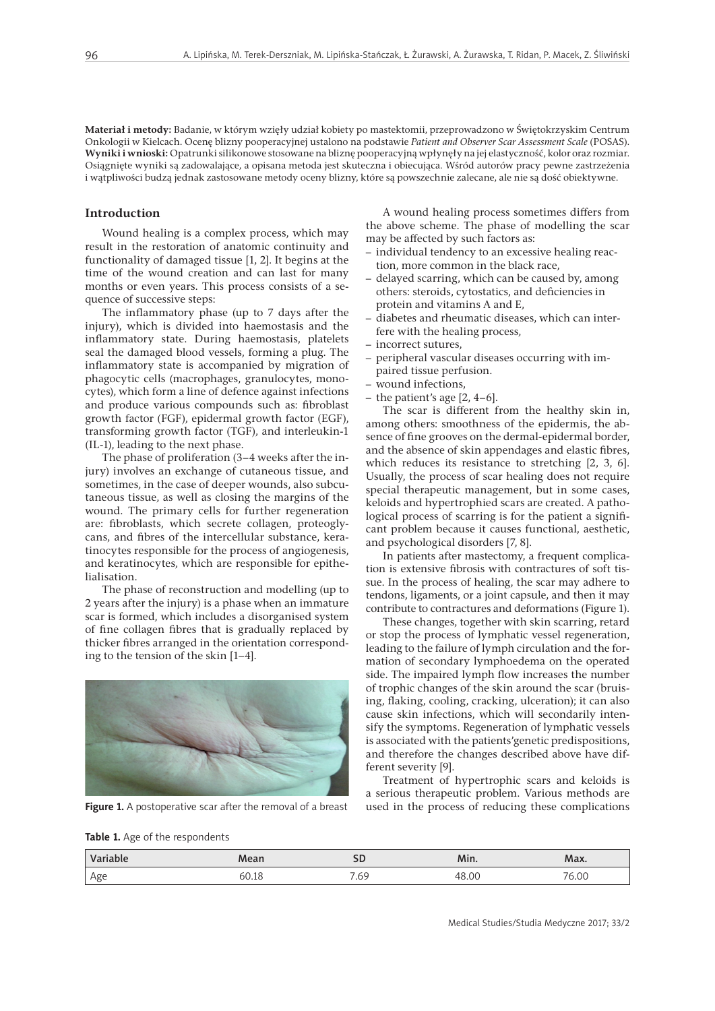**Materiał i metody:** Badanie, w którym wzięły udział kobiety po mastektomii, przeprowadzono w Świętokrzyskim Centrum Onkologii w Kielcach. Ocenę blizny pooperacyjnej ustalono na podstawie *Patient and Observer Scar Assessment Scale* (POSAS). **Wyniki i wnioski:** Opatrunki silikonowe stosowane na bliznę pooperacyjną wpłynęły na jej elastyczność, kolor oraz rozmiar. Osiągnięte wyniki są zadowalające, a opisana metoda jest skuteczna i obiecująca. Wśród autorów pracy pewne zastrzeżenia i wątpliwości budzą jednak zastosowane metody oceny blizny, które są powszechnie zalecane, ale nie są dość obiektywne.

#### **Introduction**

Wound healing is a complex process, which may result in the restoration of anatomic continuity and functionality of damaged tissue [1, 2]. It begins at the time of the wound creation and can last for many months or even years. This process consists of a sequence of successive steps:

The inflammatory phase (up to 7 days after the injury), which is divided into haemostasis and the inflammatory state. During haemostasis, platelets seal the damaged blood vessels, forming a plug. The inflammatory state is accompanied by migration of phagocytic cells (macrophages, granulocytes, monocytes), which form a line of defence against infections and produce various compounds such as: fibroblast growth factor (FGF), epidermal growth factor (EGF), transforming growth factor (TGF), and interleukin-1 (IL-1), leading to the next phase.

The phase of proliferation (3–4 weeks after the injury) involves an exchange of cutaneous tissue, and sometimes, in the case of deeper wounds, also subcutaneous tissue, as well as closing the margins of the wound. The primary cells for further regeneration are: fibroblasts, which secrete collagen, proteoglycans, and fibres of the intercellular substance, keratinocytes responsible for the process of angiogenesis, and keratinocytes, which are responsible for epithelialisation.

The phase of reconstruction and modelling (up to 2 years after the injury) is a phase when an immature scar is formed, which includes a disorganised system of fine collagen fibres that is gradually replaced by thicker fibres arranged in the orientation corresponding to the tension of the skin [1–4].



Figure 1. A postoperative scar after the removal of a breast

A wound healing process sometimes differs from the above scheme. The phase of modelling the scar may be affected by such factors as:

- individual tendency to an excessive healing reaction, more common in the black race,
- delayed scarring, which can be caused by, among others: steroids, cytostatics, and deficiencies in protein and vitamins A and E,
- diabetes and rheumatic diseases, which can interfere with the healing process,
- incorrect sutures,
- peripheral vascular diseases occurring with impaired tissue perfusion.
- wound infections,
- the patient's age  $[2, 4-6]$ .

The scar is different from the healthy skin in, among others: smoothness of the epidermis, the absence of fine grooves on the dermal-epidermal border, and the absence of skin appendages and elastic fibres, which reduces its resistance to stretching [2, 3, 6]. Usually, the process of scar healing does not require special therapeutic management, but in some cases, keloids and hypertrophied scars are created. A pathological process of scarring is for the patient a significant problem because it causes functional, aesthetic, and psychological disorders [7, 8].

In patients after mastectomy, a frequent complication is extensive fibrosis with contractures of soft tissue. In the process of healing, the scar may adhere to tendons, ligaments, or a joint capsule, and then it may contribute to contractures and deformations (Figure 1).

These changes, together with skin scarring, retard or stop the process of lymphatic vessel regeneration, leading to the failure of lymph circulation and the formation of secondary lymphoedema on the operated side. The impaired lymph flow increases the number of trophic changes of the skin around the scar (bruising, flaking, cooling, cracking, ulceration); it can also cause skin infections, which will secondarily intensify the symptoms. Regeneration of lymphatic vessels is associated with the patients'genetic predispositions, and therefore the changes described above have different severity [9].

Treatment of hypertrophic scars and keloids is a serious therapeutic problem. Various methods are used in the process of reducing these complications

**Table 1.** Age of the respondents

| <b>Variable</b><br>nable | Mean  |                | Min.  | Max.  |
|--------------------------|-------|----------------|-------|-------|
| Age                      | 60.I8 | $\sim$<br>ر ں. | 48.00 | 76.00 |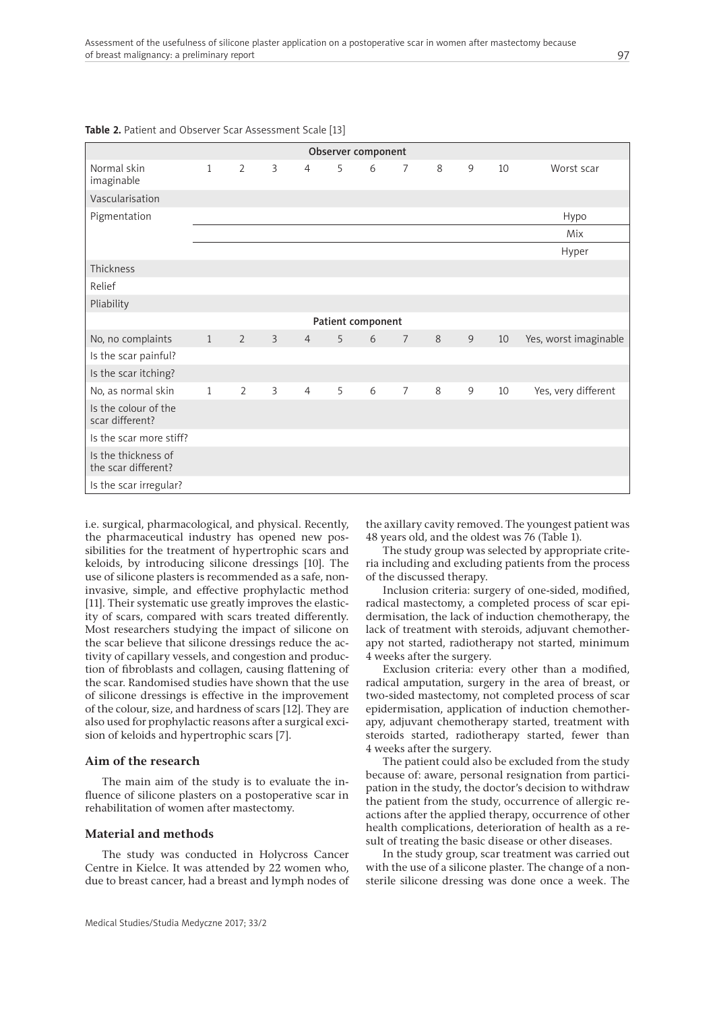| Observer component                         |              |                |                |                |   |                   |                |   |   |    |                       |
|--------------------------------------------|--------------|----------------|----------------|----------------|---|-------------------|----------------|---|---|----|-----------------------|
| Normal skin<br>imaginable                  | $\mathbf{1}$ | $\overline{2}$ | 3              | $\overline{4}$ | 5 | 6                 | $\overline{7}$ | 8 | 9 | 10 | Worst scar            |
| Vascularisation                            |              |                |                |                |   |                   |                |   |   |    |                       |
| Pigmentation                               |              |                |                |                |   |                   |                |   |   |    | Hypo                  |
|                                            |              |                |                |                |   |                   |                |   |   |    | Mix                   |
|                                            |              |                |                |                |   |                   |                |   |   |    | Hyper                 |
| Thickness                                  |              |                |                |                |   |                   |                |   |   |    |                       |
| Relief                                     |              |                |                |                |   |                   |                |   |   |    |                       |
| Pliability                                 |              |                |                |                |   |                   |                |   |   |    |                       |
|                                            |              |                |                |                |   | Patient component |                |   |   |    |                       |
| No, no complaints                          | 1            | $\overline{2}$ | $\overline{3}$ | $\overline{4}$ | 5 | 6                 | $\overline{7}$ | 8 | 9 | 10 | Yes, worst imaginable |
| Is the scar painful?                       |              |                |                |                |   |                   |                |   |   |    |                       |
| Is the scar itching?                       |              |                |                |                |   |                   |                |   |   |    |                       |
| No, as normal skin                         | $\mathbf{1}$ | $\overline{2}$ | 3              | $\overline{4}$ | 5 | 6                 | $\overline{7}$ | 8 | 9 | 10 | Yes, very different   |
| Is the colour of the<br>scar different?    |              |                |                |                |   |                   |                |   |   |    |                       |
| Is the scar more stiff?                    |              |                |                |                |   |                   |                |   |   |    |                       |
| Is the thickness of<br>the scar different? |              |                |                |                |   |                   |                |   |   |    |                       |
| Is the scar irregular?                     |              |                |                |                |   |                   |                |   |   |    |                       |

#### **Table 2.** Patient and Observer Scar Assessment Scale [13]

i.e. surgical, pharmacological, and physical. Recently, the pharmaceutical industry has opened new possibilities for the treatment of hypertrophic scars and keloids, by introducing silicone dressings [10]. The use of silicone plasters is recommended as a safe, noninvasive, simple, and effective prophylactic method [11]. Their systematic use greatly improves the elasticity of scars, compared with scars treated differently. Most researchers studying the impact of silicone on the scar believe that silicone dressings reduce the activity of capillary vessels, and congestion and production of fibroblasts and collagen, causing flattening of the scar. Randomised studies have shown that the use of silicone dressings is effective in the improvement of the colour, size, and hardness of scars [12]. They are also used for prophylactic reasons after a surgical excision of keloids and hypertrophic scars [7].

#### **Aim of the research**

The main aim of the study is to evaluate the influence of silicone plasters on a postoperative scar in rehabilitation of women after mastectomy.

#### **Material and methods**

The study was conducted in Holycross Cancer Centre in Kielce. It was attended by 22 women who, due to breast cancer, had a breast and lymph nodes of

the axillary cavity removed. The youngest patient was 48 years old, and the oldest was 76 (Table 1).

The study group was selected by appropriate criteria including and excluding patients from the process of the discussed therapy.

Inclusion criteria: surgery of one-sided, modified, radical mastectomy, a completed process of scar epidermisation, the lack of induction chemotherapy, the lack of treatment with steroids, adjuvant chemotherapy not started, radiotherapy not started, minimum 4 weeks after the surgery.

Exclusion criteria: every other than a modified, radical amputation, surgery in the area of breast, or two-sided mastectomy, not completed process of scar epidermisation, application of induction chemotherapy, adjuvant chemotherapy started, treatment with steroids started, radiotherapy started, fewer than 4 weeks after the surgery.

The patient could also be excluded from the study because of: aware, personal resignation from participation in the study, the doctor's decision to withdraw the patient from the study, occurrence of allergic reactions after the applied therapy, occurrence of other health complications, deterioration of health as a result of treating the basic disease or other diseases.

In the study group, scar treatment was carried out with the use of a silicone plaster. The change of a nonsterile silicone dressing was done once a week. The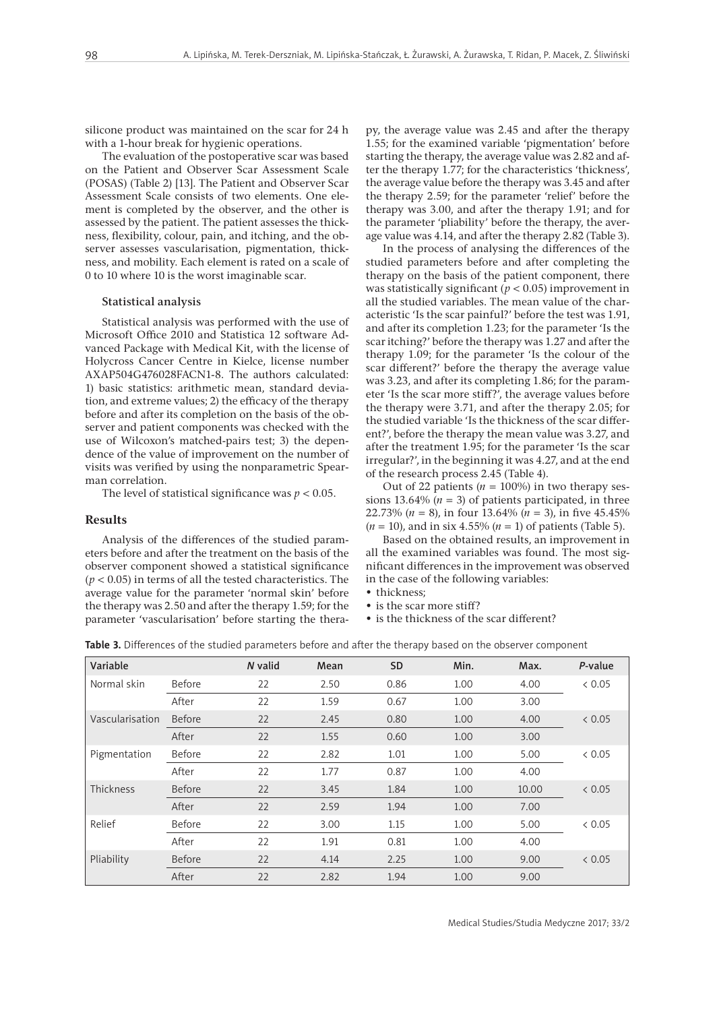silicone product was maintained on the scar for 24 h with a 1-hour break for hygienic operations.

The evaluation of the postoperative scar was based on the Patient and Observer Scar Assessment Scale (POSAS) (Table 2) [13]. The Patient and Observer Scar Assessment Scale consists of two elements. One element is completed by the observer, and the other is assessed by the patient. The patient assesses the thickness, flexibility, colour, pain, and itching, and the observer assesses vascularisation, pigmentation, thickness, and mobility. Each element is rated on a scale of 0 to 10 where 10 is the worst imaginable scar.

#### Statistical analysis

Statistical analysis was performed with the use of Microsoft Office 2010 and Statistica 12 software Advanced Package with Medical Kit, with the license of Holycross Cancer Centre in Kielce, license number AXAP504G476028FACN1-8. The authors calculated: 1) basic statistics: arithmetic mean, standard deviation, and extreme values; 2) the efficacy of the therapy before and after its completion on the basis of the observer and patient components was checked with the use of Wilcoxon's matched-pairs test; 3) the dependence of the value of improvement on the number of visits was verified by using the nonparametric Spearman correlation.

The level of statistical significance was  $p < 0.05$ .

### **Results**

Analysis of the differences of the studied parameters before and after the treatment on the basis of the observer component showed a statistical significance (*p* < 0.05) in terms of all the tested characteristics. The average value for the parameter 'normal skin' before the therapy was 2.50 and after the therapy 1.59; for the parameter 'vascularisation' before starting the therapy, the average value was 2.45 and after the therapy 1.55; for the examined variable 'pigmentation' before starting the therapy, the average value was 2.82 and after the therapy 1.77; for the characteristics 'thickness', the average value before the therapy was 3.45 and after the therapy 2.59; for the parameter 'relief' before the therapy was 3.00, and after the therapy 1.91; and for the parameter 'pliability' before the therapy, the average value was 4.14, and after the therapy 2.82 (Table 3).

In the process of analysing the differences of the studied parameters before and after completing the therapy on the basis of the patient component, there was statistically significant (*p* < 0.05) improvement in all the studied variables. The mean value of the characteristic 'Is the scar painful?' before the test was 1.91, and after its completion 1.23; for the parameter 'Is the scar itching?' before the therapy was 1.27 and after the therapy 1.09; for the parameter 'Is the colour of the scar different?' before the therapy the average value was 3.23, and after its completing 1.86; for the parameter 'Is the scar more stiff?', the average values before the therapy were 3.71, and after the therapy 2.05; for the studied variable 'Is the thickness of the scar different?', before the therapy the mean value was 3.27, and after the treatment 1.95; for the parameter 'Is the scar irregular?', in the beginning it was 4.27, and at the end of the research process 2.45 (Table 4).

Out of 22 patients ( $n = 100\%$ ) in two therapy sessions 13.64%  $(n = 3)$  of patients participated, in three 22.73% (*n* = 8), in four 13.64% (*n* = 3), in five 45.45%  $(n = 10)$ , and in six 4.55%  $(n = 1)$  of patients (Table 5).

Based on the obtained results, an improvement in all the examined variables was found. The most significant differences in the improvement was observed in the case of the following variables:

• thickness;

• is the scar more stiff?

• is the thickness of the scar different?

**Table 3.** Differences of the studied parameters before and after the therapy based on the observer component

| Variable        |               | N valid | Mean | <b>SD</b> | Min. | Max.  | P-value |
|-----------------|---------------|---------|------|-----------|------|-------|---------|
| Normal skin     | Before        | 22      | 2.50 | 0.86      | 1.00 | 4.00  | & 0.05  |
|                 | After         | 22      | 1.59 | 0.67      | 1.00 | 3.00  |         |
| Vascularisation | <b>Before</b> | 22      | 2.45 | 0.80      | 1.00 | 4.00  | & 0.05  |
|                 | After         | 22      | 1.55 | 0.60      | 1.00 | 3.00  |         |
| Pigmentation    | Before        | 22      | 2.82 | 1.01      | 1.00 | 5.00  | & 0.05  |
|                 | After         | 22      | 1.77 | 0.87      | 1.00 | 4.00  |         |
| Thickness       | Before        | 22      | 3.45 | 1.84      | 1.00 | 10.00 | & 0.05  |
|                 | After         | 22      | 2.59 | 1.94      | 1.00 | 7.00  |         |
| Relief          | Before        | 22      | 3.00 | 1.15      | 1.00 | 5.00  | & 0.05  |
|                 | After         | 22      | 1.91 | 0.81      | 1.00 | 4.00  |         |
| Pliability      | Before        | 22      | 4.14 | 2.25      | 1.00 | 9.00  | & 0.05  |
|                 | After         | 22      | 2.82 | 1.94      | 1.00 | 9.00  |         |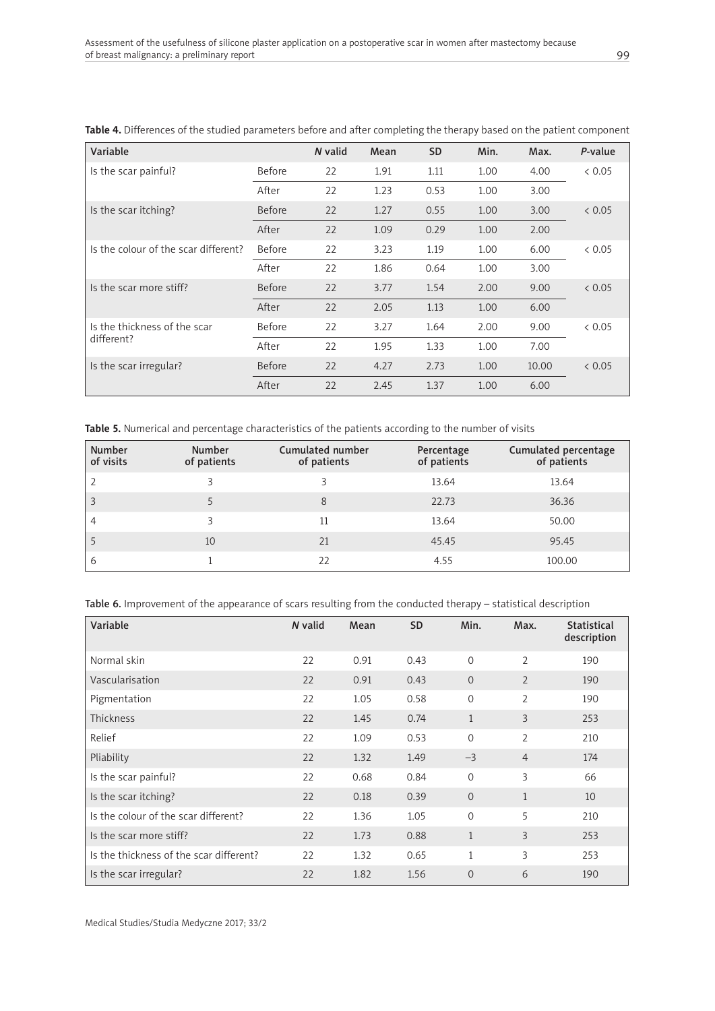| Variable                             |               | N valid | Mean | <b>SD</b> | Min. | Max.  | P-value |
|--------------------------------------|---------------|---------|------|-----------|------|-------|---------|
| Is the scar painful?                 | <b>Before</b> | 22      | 1.91 | 1.11      | 1.00 | 4.00  | & 0.05  |
|                                      | After         | 22      | 1.23 | 0.53      | 1.00 | 3.00  |         |
| Is the scar itching?                 | <b>Before</b> | 22      | 1.27 | 0.55      | 1.00 | 3.00  | & 0.05  |
|                                      | After         | 22      | 1.09 | 0.29      | 1.00 | 2.00  |         |
| Is the colour of the scar different? | Before        | 22      | 3.23 | 1.19      | 1.00 | 6.00  | & 0.05  |
|                                      | After         | 22      | 1.86 | 0.64      | 1.00 | 3.00  |         |
| Is the scar more stiff?              | <b>Before</b> | 22      | 3.77 | 1.54      | 2.00 | 9.00  | & 0.05  |
|                                      | After         | 22      | 2.05 | 1.13      | 1.00 | 6.00  |         |
| Is the thickness of the scar         | Before        | 22      | 3.27 | 1.64      | 2.00 | 9.00  | & 0.05  |
| different?                           | After         | 22      | 1.95 | 1.33      | 1.00 | 7.00  |         |
| Is the scar irregular?               | <b>Before</b> | 22      | 4.27 | 2.73      | 1.00 | 10.00 | & 0.05  |
|                                      | After         | 22      | 2.45 | 1.37      | 1.00 | 6.00  |         |

**Table 4.** Differences of the studied parameters before and after completing the therapy based on the patient component

**Table 5.** Numerical and percentage characteristics of the patients according to the number of visits

| <b>Number</b><br>of visits | <b>Number</b><br>of patients | Cumulated number<br>of patients | Percentage<br>of patients | Cumulated percentage<br>of patients |
|----------------------------|------------------------------|---------------------------------|---------------------------|-------------------------------------|
| $\overline{2}$             |                              | 3                               | 13.64                     | 13.64                               |
| $\overline{\mathbf{3}}$    |                              | 8                               | 22.73                     | 36.36                               |
| 4                          |                              | 11                              | 13.64                     | 50.00                               |
| 5                          | 10                           | 21                              | 45.45                     | 95.45                               |
| 6                          |                              | 22                              | 4.55                      | 100.00                              |

Table 6. Improvement of the appearance of scars resulting from the conducted therapy – statistical description

| Variable                                | N valid | Mean | <b>SD</b> | Min.           | Max.           | <b>Statistical</b><br>description |
|-----------------------------------------|---------|------|-----------|----------------|----------------|-----------------------------------|
| Normal skin                             | 22      | 0.91 | 0.43      | $\Omega$       | $\overline{2}$ | 190                               |
| Vascularisation                         | 22      | 0.91 | 0.43      | $\overline{0}$ | $\overline{2}$ | 190                               |
| Pigmentation                            | 22      | 1.05 | 0.58      | $\Omega$       | 2              | 190                               |
| Thickness                               | 22      | 1.45 | 0.74      | $\mathbf{1}$   | 3              | 253                               |
| Relief                                  | 22      | 1.09 | 0.53      | $\Omega$       | $\overline{2}$ | 210                               |
| Pliability                              | 22      | 1.32 | 1.49      | $-3$           | $\overline{4}$ | 174                               |
| Is the scar painful?                    | 22      | 0.68 | 0.84      | $\Omega$       | 3              | 66                                |
| Is the scar itching?                    | 22      | 0.18 | 0.39      | $\Omega$       | $\mathbf{1}$   | 10                                |
| Is the colour of the scar different?    | 22      | 1.36 | 1.05      | $\Omega$       | 5              | 210                               |
| Is the scar more stiff?                 | 22      | 1.73 | 0.88      | $\mathbf{1}$   | 3              | 253                               |
| Is the thickness of the scar different? | 22      | 1.32 | 0.65      | $\mathbf{1}$   | 3              | 253                               |
| Is the scar irregular?                  | 22      | 1.82 | 1.56      | $\overline{0}$ | 6              | 190                               |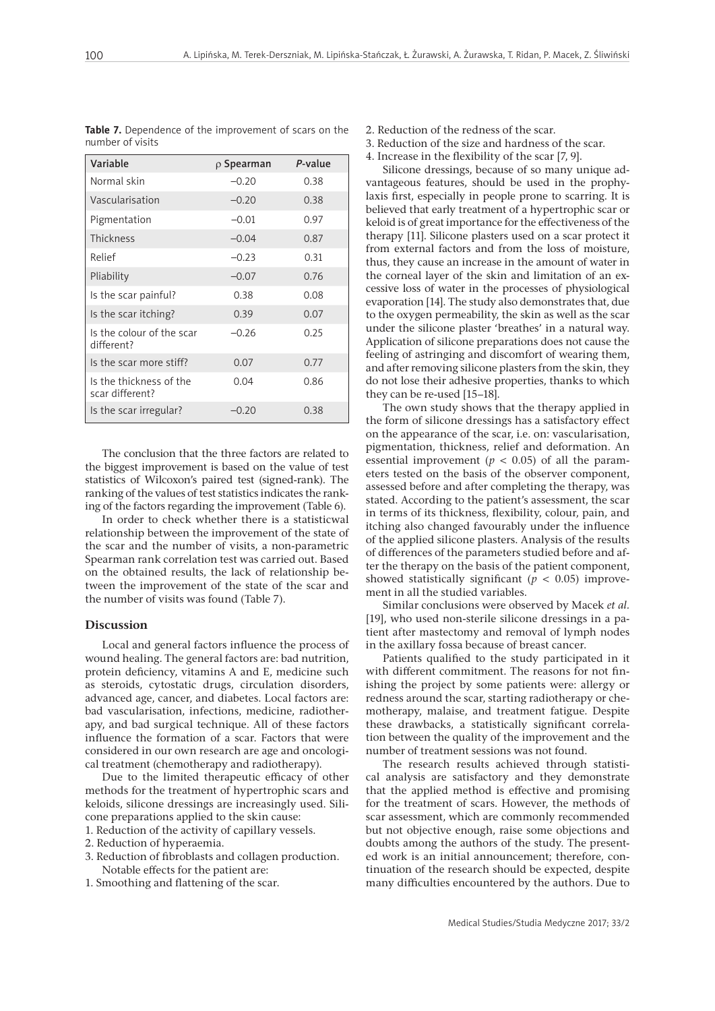| Variable                                   | $\rho$ Spearman | P-value |
|--------------------------------------------|-----------------|---------|
| Normal skin                                | $-0.20$         | 0.38    |
| Vascularisation                            | $-0.20$         | 0.38    |
| Pigmentation                               | $-0.01$         | 0.97    |
| Thickness                                  | $-0.04$         | 0.87    |
| Relief                                     | $-0.23$         | 0.31    |
| Pliability                                 | $-0.07$         | 0.76    |
| Is the scar painful?                       | 0.38            | 0.08    |
| Is the scar itching?                       | 0.39            | 0.07    |
| Is the colour of the scar<br>different?    | $-0.26$         | 0.25    |
| Is the scar more stiff?                    | 0.07            | 0.77    |
| Is the thickness of the<br>scar different? | 0.04            | 0.86    |
| Is the scar irregular?                     | $-0.20$         | 0.38    |

**Table 7.** Dependence of the improvement of scars on the number of visits

The conclusion that the three factors are related to the biggest improvement is based on the value of test statistics of Wilcoxon's paired test (signed-rank). The ranking of the values of test statistics indicates the ranking of the factors regarding the improvement (Table 6).

In order to check whether there is a statisticwal relationship between the improvement of the state of the scar and the number of visits, a non-parametric Spearman rank correlation test was carried out. Based on the obtained results, the lack of relationship between the improvement of the state of the scar and the number of visits was found (Table 7).

#### **Discussion**

Local and general factors influence the process of wound healing. The general factors are: bad nutrition, protein deficiency, vitamins A and E, medicine such as steroids, cytostatic drugs, circulation disorders, advanced age, cancer, and diabetes. Local factors are: bad vascularisation, infections, medicine, radiotherapy, and bad surgical technique. All of these factors influence the formation of a scar. Factors that were considered in our own research are age and oncological treatment (chemotherapy and radiotherapy).

Due to the limited therapeutic efficacy of other methods for the treatment of hypertrophic scars and keloids, silicone dressings are increasingly used. Silicone preparations applied to the skin cause:

- 1. Reduction of the activity of capillary vessels.
- 2. Reduction of hyperaemia.
- 3. Reduction of fibroblasts and collagen production. Notable effects for the patient are:
- 1. Smoothing and flattening of the scar.

2. Reduction of the redness of the scar.

- 3. Reduction of the size and hardness of the scar.
- 4. Increase in the flexibility of the scar [7, 9].

Silicone dressings, because of so many unique advantageous features, should be used in the prophylaxis first, especially in people prone to scarring. It is believed that early treatment of a hypertrophic scar or keloid is of great importance for the effectiveness of the therapy [11]. Silicone plasters used on a scar protect it from external factors and from the loss of moisture, thus, they cause an increase in the amount of water in the corneal layer of the skin and limitation of an excessive loss of water in the processes of physiological evaporation [14]. The study also demonstrates that, due to the oxygen permeability, the skin as well as the scar under the silicone plaster 'breathes' in a natural way. Application of silicone preparations does not cause the feeling of astringing and discomfort of wearing them, and after removing silicone plasters from the skin, they do not lose their adhesive properties, thanks to which they can be re-used [15–18].

The own study shows that the therapy applied in the form of silicone dressings has a satisfactory effect on the appearance of the scar, i.e. on: vascularisation, pigmentation, thickness, relief and deformation. An essential improvement ( $p < 0.05$ ) of all the parameters tested on the basis of the observer component, assessed before and after completing the therapy, was stated. According to the patient's assessment, the scar in terms of its thickness, flexibility, colour, pain, and itching also changed favourably under the influence of the applied silicone plasters. Analysis of the results of differences of the parameters studied before and after the therapy on the basis of the patient component, showed statistically significant ( $p < 0.05$ ) improvement in all the studied variables.

Similar conclusions were observed by Macek *et al.* [19], who used non-sterile silicone dressings in a patient after mastectomy and removal of lymph nodes in the axillary fossa because of breast cancer.

Patients qualified to the study participated in it with different commitment. The reasons for not finishing the project by some patients were: allergy or redness around the scar, starting radiotherapy or chemotherapy, malaise, and treatment fatigue. Despite these drawbacks, a statistically significant correlation between the quality of the improvement and the number of treatment sessions was not found.

The research results achieved through statistical analysis are satisfactory and they demonstrate that the applied method is effective and promising for the treatment of scars. However, the methods of scar assessment, which are commonly recommended but not objective enough, raise some objections and doubts among the authors of the study. The presented work is an initial announcement; therefore, continuation of the research should be expected, despite many difficulties encountered by the authors. Due to